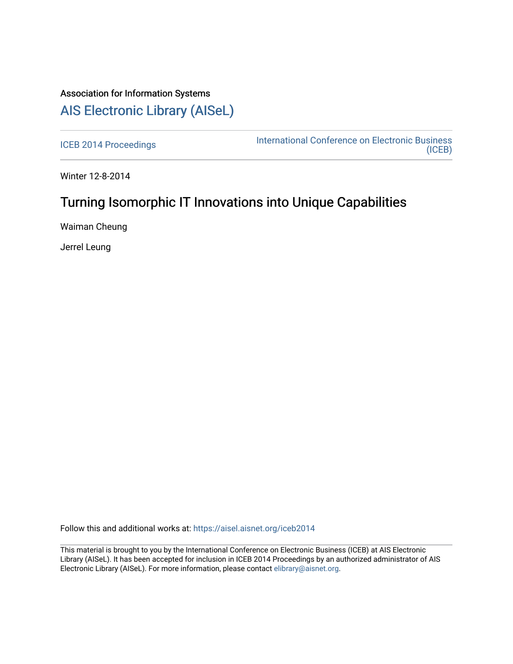# Association for Information Systems [AIS Electronic Library \(AISeL\)](https://aisel.aisnet.org/)

[ICEB 2014 Proceedings](https://aisel.aisnet.org/iceb2014) **International Conference on Electronic Business** [\(ICEB\)](https://aisel.aisnet.org/iceb) 

Winter 12-8-2014

# Turning Isomorphic IT Innovations into Unique Capabilities

Waiman Cheung

Jerrel Leung

Follow this and additional works at: [https://aisel.aisnet.org/iceb2014](https://aisel.aisnet.org/iceb2014?utm_source=aisel.aisnet.org%2Ficeb2014%2F11&utm_medium=PDF&utm_campaign=PDFCoverPages)

This material is brought to you by the International Conference on Electronic Business (ICEB) at AIS Electronic Library (AISeL). It has been accepted for inclusion in ICEB 2014 Proceedings by an authorized administrator of AIS Electronic Library (AISeL). For more information, please contact [elibrary@aisnet.org.](mailto:elibrary@aisnet.org%3E)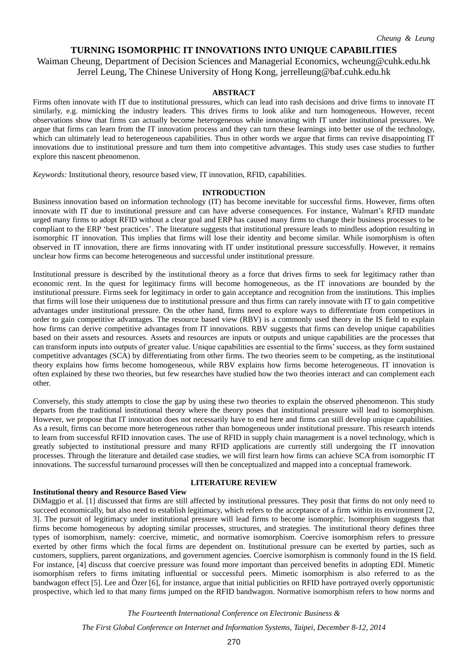# **TURNING ISOMORPHIC IT INNOVATIONS INTO UNIQUE CAPABILITIES**

Waiman Cheung, Department of Decision Sciences and Managerial Economics, wcheung@cuhk.edu.hk Jerrel Leung, The Chinese University of Hong Kong, jerrelleung@baf.cuhk.edu.hk

# **ABSTRACT**

Firms often innovate with IT due to institutional pressures, which can lead into rash decisions and drive firms to innovate IT similarly, e.g. mimicking the industry leaders. This drives firms to look alike and turn homogeneous. However, recent observations show that firms can actually become heterogeneous while innovating with IT under institutional pressures. We argue that firms can learn from the IT innovation process and they can turn these learnings into better use of the technology, which can ultimately lead to heterogeneous capabilities. Thus in other words we argue that firms can revive disappointing IT innovations due to institutional pressure and turn them into competitive advantages. This study uses case studies to further explore this nascent phenomenon.

*Keywords:* Institutional theory, resource based view, IT innovation, RFID, capabilities.

#### **INTRODUCTION**

Business innovation based on information technology (IT) has become inevitable for successful firms. However, firms often innovate with IT due to institutional pressure and can have adverse consequences. For instance, Walmart's RFID mandate urged many firms to adopt RFID without a clear goal and ERP has caused many firms to change their business processes to be compliant to the ERP 'best practices'. The literature suggests that institutional pressure leads to mindless adoption resulting in isomorphic IT innovation. This implies that firms will lose their identity and become similar. While isomorphism is often observed in IT innovation, there are firms innovating with IT under institutional pressure successfully. However, it remains unclear how firms can become heterogeneous and successful under institutional pressure.

Institutional pressure is described by the institutional theory as a force that drives firms to seek for legitimacy rather than economic rent. In the quest for legitimacy firms will become homogeneous, as the IT innovations are bounded by the institutional pressure. Firms seek for legitimacy in order to gain acceptance and recognition from the institutions. This implies that firms will lose their uniqueness due to institutional pressure and thus firms can rarely innovate with IT to gain competitive advantages under institutional pressure. On the other hand, firms need to explore ways to differentiate from competitors in order to gain competitive advantages. The resource based view (RBV) is a commonly used theory in the IS field to explain how firms can derive competitive advantages from IT innovations. RBV suggests that firms can develop unique capabilities based on their assets and resources. Assets and resources are inputs or outputs and unique capabilities are the processes that can transform inputs into outputs of greater value. Unique capabilities are essential to the firms' success, as they form sustained competitive advantages (SCA) by differentiating from other firms. The two theories seem to be competing, as the institutional theory explains how firms become homogeneous, while RBV explains how firms become heterogeneous. IT innovation is often explained by these two theories, but few researches have studied how the two theories interact and can complement each other.

Conversely, this study attempts to close the gap by using these two theories to explain the observed phenomenon. This study departs from the traditional institutional theory where the theory poses that institutional pressure will lead to isomorphism. However, we propose that IT innovation does not necessarily have to end here and firms can still develop unique capabilities. As a result, firms can become more heterogeneous rather than homogeneous under institutional pressure. This research intends to learn from successful RFID innovation cases. The use of RFID in supply chain management is a novel technology, which is greatly subjected to institutional pressure and many RFID applications are currently still undergoing the IT innovation processes. Through the literature and detailed case studies, we will first learn how firms can achieve SCA from isomorphic IT innovations. The successful turnaround processes will then be conceptualized and mapped into a conceptual framework.

# **Institutional theory and Resource Based View**

#### **LITERATURE REVIEW**

DiMaggio et al. [1] discussed that firms are still affected by institutional pressures. They posit that firms do not only need to succeed economically, but also need to establish legitimacy, which refers to the acceptance of a firm within its environment [2, 3]. The pursuit of legitimacy under institutional pressure will lead firms to become isomorphic. Isomorphism suggests that firms become homogeneous by adopting similar processes, structures, and strategies. The institutional theory defines three types of isomorphism, namely: coercive, mimetic, and normative isomorphism. Coercive isomorphism refers to pressure exerted by other firms which the focal firms are dependent on. Institutional pressure can be exerted by parties, such as customers, suppliers, parent organizations, and government agencies. Coercive isomorphism is commonly found in the IS field. For instance, [4] discuss that coercive pressure was found more important than perceived benefits in adopting EDI. Mimetic isomorphism refers to firms imitating influential or successful peers. Mimetic isomorphism is also referred to as the bandwagon effect [5]. Lee and Ö zer [6], for instance, argue that initial publicities on RFID have portrayed overly opportunistic prospective, which led to that many firms jumped on the RFID bandwagon. Normative isomorphism refers to how norms and

*The Fourteenth International Conference on Electronic Business &*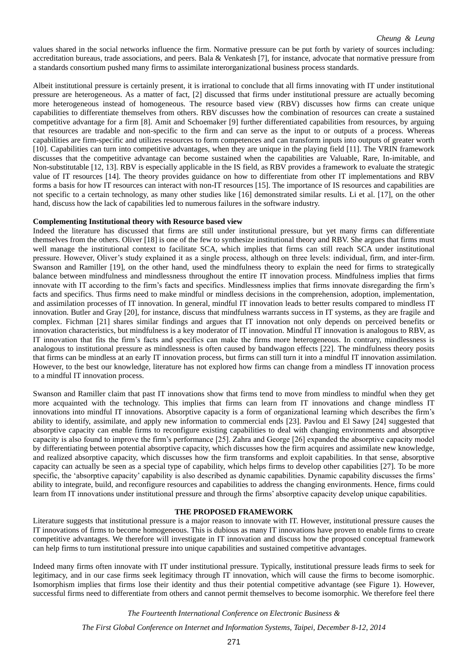values shared in the social networks influence the firm. Normative pressure can be put forth by variety of sources including: accreditation bureaus, trade associations, and peers. Bala & Venkatesh [7], for instance, advocate that normative pressure from a standards consortium pushed many firms to assimilate interorganizational business process standards.

Albeit institutional pressure is certainly present, it is irrational to conclude that all firms innovating with IT under institutional pressure are heterogeneous. As a matter of fact, [2] discussed that firms under institutional pressure are actually becoming more heterogeneous instead of homogeneous. The resource based view (RBV) discusses how firms can create unique capabilities to differentiate themselves from others. RBV discusses how the combination of resources can create a sustained competitive advantage for a firm [8]. Amit and Schoemaker [9] further differentiated capabilities from resources, by arguing that resources are tradable and non-specific to the firm and can serve as the input to or outputs of a process. Whereas capabilities are firm-specific and utilizes resources to form competences and can transform inputs into outputs of greater worth [10]. Capabilities can turn into competitive advantages, when they are unique in the playing field [11]. The VRIN framework discusses that the competitive advantage can become sustained when the capabilities are Valuable, Rare, In-imitable, and Non-substitutable [12, 13]. RBV is especially applicable in the IS field, as RBV provides a framework to evaluate the strategic value of IT resources [14]. The theory provides guidance on how to differentiate from other IT implementations and RBV forms a basis for how IT resources can interact with non-IT resources [15]. The importance of IS resources and capabilities are not specific to a certain technology, as many other studies like [16] demonstrated similar results. Li et al. [17], on the other hand, discuss how the lack of capabilities led to numerous failures in the software industry.

# **Complementing Institutional theory with Resource based view**

Indeed the literature has discussed that firms are still under institutional pressure, but yet many firms can differentiate themselves from the others. Oliver [18] is one of the few to synthesize institutional theory and RBV. She argues that firms must well manage the institutional context to facilitate SCA, which implies that firms can still reach SCA under institutional pressure. However, Oliver's study explained it as a single process, although on three levels: individual, firm, and inter-firm. Swanson and Ramiller [19], on the other hand, used the mindfulness theory to explain the need for firms to strategically balance between mindfulness and mindlessness throughout the entire IT innovation process. Mindfulness implies that firms innovate with IT according to the firm's facts and specifics. Mindlessness implies that firms innovate disregarding the firm's facts and specifics. Thus firms need to make mindful or mindless decisions in the comprehension, adoption, implementation, and assimilation processes of IT innovation. In general, mindful IT innovation leads to better results compared to mindless IT innovation. Butler and Gray [20], for instance, discuss that mindfulness warrants success in IT systems, as they are fragile and complex. Fichman [21] shares similar findings and argues that IT innovation not only depends on perceived benefits or innovation characteristics, but mindfulness is a key moderator of IT innovation. Mindful IT innovation is analogous to RBV, as IT innovation that fits the firm's facts and specifics can make the firms more heterogeneous. In contrary, mindlessness is analogous to institutional pressure as mindlessness is often caused by bandwagon effects [22]. The mindfulness theory posits that firms can be mindless at an early IT innovation process, but firms can still turn it into a mindful IT innovation assimilation. However, to the best our knowledge, literature has not explored how firms can change from a mindless IT innovation process to a mindful IT innovation process.

Swanson and Ramiller claim that past IT innovations show that firms tend to move from mindless to mindful when they get more acquainted with the technology. This implies that firms can learn from IT innovations and change mindless IT innovations into mindful IT innovations. Absorptive capacity is a form of organizational learning which describes the firm's ability to identify, assimilate, and apply new information to commercial ends [23]. Pavlou and El Sawy [24] suggested that absorptive capacity can enable firms to reconfigure existing capabilities to deal with changing environments and absorptive capacity is also found to improve the firm's performance [25]. Zahra and George [26] expanded the absorptive capacity model by differentiating between potential absorptive capacity, which discusses how the firm acquires and assimilate new knowledge, and realized absorptive capacity, which discusses how the firm transforms and exploit capabilities. In that sense, absorptive capacity can actually be seen as a special type of capability, which helps firms to develop other capabilities [27]. To be more specific, the 'absorptive capacity' capability is also described as dynamic capabilities. Dynamic capability discusses the firms' ability to integrate, build, and reconfigure resources and capabilities to address the changing environments. Hence, firms could learn from IT innovations under institutional pressure and through the firms' absorptive capacity develop unique capabilities.

### **THE PROPOSED FRAMEWORK**

Literature suggests that institutional pressure is a major reason to innovate with IT. However, institutional pressure causes the IT innovations of firms to become homogeneous. This is dubious as many IT innovations have proven to enable firms to create competitive advantages. We therefore will investigate in IT innovation and discuss how the proposed conceptual framework can help firms to turn institutional pressure into unique capabilities and sustained competitive advantages.

Indeed many firms often innovate with IT under institutional pressure. Typically, institutional pressure leads firms to seek for legitimacy, and in our case firms seek legitimacy through IT innovation, which will cause the firms to become isomorphic. Isomorphism implies that firms lose their identity and thus their potential competitive advantage (see Figure 1). However, successful firms need to differentiate from others and cannot permit themselves to become isomorphic. We therefore feel there

*The Fourteenth International Conference on Electronic Business &*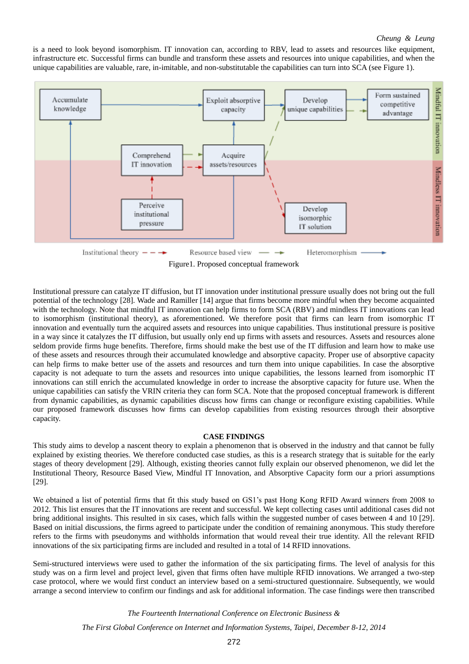# *Cheung & Leung*

is a need to look beyond isomorphism. IT innovation can, according to RBV, lead to assets and resources like equipment, infrastructure etc. Successful firms can bundle and transform these assets and resources into unique capabilities, and when the unique capabilities are valuable, rare, in-imitable, and non-substitutable the capabilities can turn into SCA (see Figure 1).



Figure1. Proposed conceptual framework

Institutional pressure can catalyze IT diffusion, but IT innovation under institutional pressure usually does not bring out the full potential of the technology [28]. Wade and Ramiller [14] argue that firms become more mindful when they become acquainted with the technology. Note that mindful IT innovation can help firms to form SCA (RBV) and mindless IT innovations can lead to isomorphism (institutional theory), as aforementioned. We therefore posit that firms can learn from isomorphic IT innovation and eventually turn the acquired assets and resources into unique capabilities. Thus institutional pressure is positive in a way since it catalyzes the IT diffusion, but usually only end up firms with assets and resources. Assets and resources alone seldom provide firms huge benefits. Therefore, firms should make the best use of the IT diffusion and learn how to make use of these assets and resources through their accumulated knowledge and absorptive capacity. Proper use of absorptive capacity can help firms to make better use of the assets and resources and turn them into unique capabilities. In case the absorptive capacity is not adequate to turn the assets and resources into unique capabilities, the lessons learned from isomorphic IT innovations can still enrich the accumulated knowledge in order to increase the absorptive capacity for future use. When the unique capabilities can satisfy the VRIN criteria they can form SCA. Note that the proposed conceptual framework is different from dynamic capabilities, as dynamic capabilities discuss how firms can change or reconfigure existing capabilities. While our proposed framework discusses how firms can develop capabilities from existing resources through their absorptive capacity.

# **CASE FINDINGS**

This study aims to develop a nascent theory to explain a phenomenon that is observed in the industry and that cannot be fully explained by existing theories. We therefore conducted case studies, as this is a research strategy that is suitable for the early stages of theory development [29]. Although, existing theories cannot fully explain our observed phenomenon, we did let the Institutional Theory, Resource Based View, Mindful IT Innovation, and Absorptive Capacity form our a priori assumptions [29].

We obtained a list of potential firms that fit this study based on GS1's past Hong Kong RFID Award winners from 2008 to 2012. This list ensures that the IT innovations are recent and successful. We kept collecting cases until additional cases did not bring additional insights. This resulted in six cases, which falls within the suggested number of cases between 4 and 10 [29]. Based on initial discussions, the firms agreed to participate under the condition of remaining anonymous. This study therefore refers to the firms with pseudonyms and withholds information that would reveal their true identity. All the relevant RFID innovations of the six participating firms are included and resulted in a total of 14 RFID innovations.

Semi-structured interviews were used to gather the information of the six participating firms. The level of analysis for this study was on a firm level and project level, given that firms often have multiple RFID innovations. We arranged a two-step case protocol, where we would first conduct an interview based on a semi-structured questionnaire. Subsequently, we would arrange a second interview to confirm our findings and ask for additional information. The case findings were then transcribed

*The Fourteenth International Conference on Electronic Business &*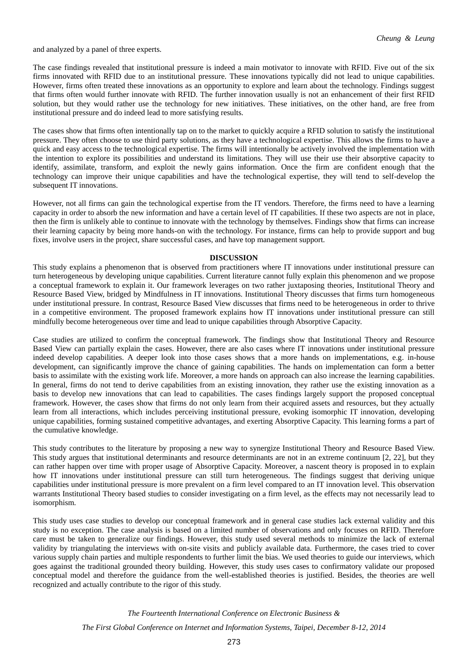and analyzed by a panel of three experts.

The case findings revealed that institutional pressure is indeed a main motivator to innovate with RFID. Five out of the six firms innovated with RFID due to an institutional pressure. These innovations typically did not lead to unique capabilities. However, firms often treated these innovations as an opportunity to explore and learn about the technology. Findings suggest that firms often would further innovate with RFID. The further innovation usually is not an enhancement of their first RFID solution, but they would rather use the technology for new initiatives. These initiatives, on the other hand, are free from institutional pressure and do indeed lead to more satisfying results.

The cases show that firms often intentionally tap on to the market to quickly acquire a RFID solution to satisfy the institutional pressure. They often choose to use third party solutions, as they have a technological expertise. This allows the firms to have a quick and easy access to the technological expertise. The firms will intentionally be actively involved the implementation with the intention to explore its possibilities and understand its limitations. They will use their use their absorptive capacity to identify, assimilate, transform, and exploit the newly gains information. Once the firm are confident enough that the technology can improve their unique capabilities and have the technological expertise, they will tend to self-develop the subsequent IT innovations.

However, not all firms can gain the technological expertise from the IT vendors. Therefore, the firms need to have a learning capacity in order to absorb the new information and have a certain level of IT capabilities. If these two aspects are not in place, then the firm is unlikely able to continue to innovate with the technology by themselves. Findings show that firms can increase their learning capacity by being more hands-on with the technology. For instance, firms can help to provide support and bug fixes, involve users in the project, share successful cases, and have top management support.

#### **DISCUSSION**

This study explains a phenomenon that is observed from practitioners where IT innovations under institutional pressure can turn heterogeneous by developing unique capabilities. Current literature cannot fully explain this phenomenon and we propose a conceptual framework to explain it. Our framework leverages on two rather juxtaposing theories, Institutional Theory and Resource Based View, bridged by Mindfulness in IT innovations. Institutional Theory discusses that firms turn homogeneous under institutional pressure. In contrast, Resource Based View discusses that firms need to be heterogeneous in order to thrive in a competitive environment. The proposed framework explains how IT innovations under institutional pressure can still mindfully become heterogeneous over time and lead to unique capabilities through Absorptive Capacity.

Case studies are utilized to confirm the conceptual framework. The findings show that Institutional Theory and Resource Based View can partially explain the cases. However, there are also cases where IT innovations under institutional pressure indeed develop capabilities. A deeper look into those cases shows that a more hands on implementations, e.g. in-house development, can significantly improve the chance of gaining capabilities. The hands on implementation can form a better basis to assimilate with the existing work life. Moreover, a more hands on approach can also increase the learning capabilities. In general, firms do not tend to derive capabilities from an existing innovation, they rather use the existing innovation as a basis to develop new innovations that can lead to capabilities. The cases findings largely support the proposed conceptual framework. However, the cases show that firms do not only learn from their acquired assets and resources, but they actually learn from all interactions, which includes perceiving institutional pressure, evoking isomorphic IT innovation, developing unique capabilities, forming sustained competitive advantages, and exerting Absorptive Capacity. This learning forms a part of the cumulative knowledge.

This study contributes to the literature by proposing a new way to synergize Institutional Theory and Resource Based View. This study argues that institutional determinants and resource determinants are not in an extreme continuum [2, 22], but they can rather happen over time with proper usage of Absorptive Capacity. Moreover, a nascent theory is proposed in to explain how IT innovations under institutional pressure can still turn heterogeneous. The findings suggest that deriving unique capabilities under institutional pressure is more prevalent on a firm level compared to an IT innovation level. This observation warrants Institutional Theory based studies to consider investigating on a firm level, as the effects may not necessarily lead to isomorphism.

This study uses case studies to develop our conceptual framework and in general case studies lack external validity and this study is no exception. The case analysis is based on a limited number of observations and only focuses on RFID. Therefore care must be taken to generalize our findings. However, this study used several methods to minimize the lack of external validity by triangulating the interviews with on-site visits and publicly available data. Furthermore, the cases tried to cover various supply chain parties and multiple respondents to further limit the bias. We used theories to guide our interviews, which goes against the traditional grounded theory building. However, this study uses cases to confirmatory validate our proposed conceptual model and therefore the guidance from the well-established theories is justified. Besides, the theories are well recognized and actually contribute to the rigor of this study.

> *The Fourteenth International Conference on Electronic Business & The First Global Conference on Internet and Information Systems, Taipei, December 8-12, 2014*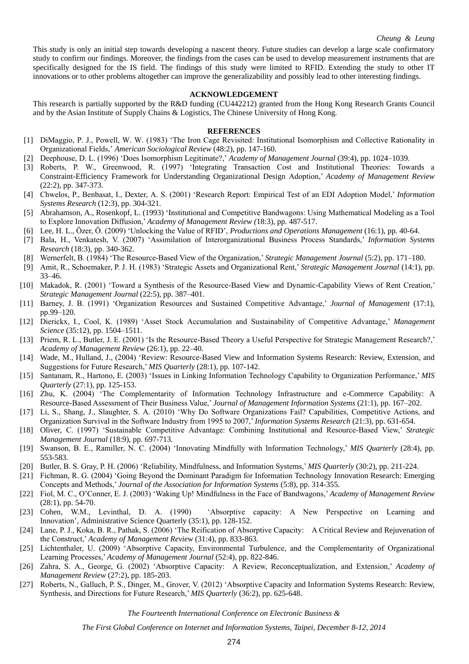This study is only an initial step towards developing a nascent theory. Future studies can develop a large scale confirmatory study to confirm our findings. Moreover, the findings from the cases can be used to develop measurement instruments that are specifically designed for the IS field. The findings of this study were limited to RFID. Extending the study to other IT innovations or to other problems altogether can improve the generalizability and possibly lead to other interesting findings.

#### **ACKNOWLEDGEMENT**

This research is partially supported by the R&D funding (CU442212) granted from the Hong Kong Research Grants Council and by the Asian Institute of Supply Chains & Logistics, The Chinese University of Hong Kong.

#### **REFERENCES**

- [1] DiMaggio, P. J., Powell, W. W. (1983) 'The Iron Cage Revisited: Institutional Isomorphism and Collective Rationality in Organizational Fields,' *American Sociological Review* (48:2), pp. 147-160.
- [2] Deephouse, D. L. (1996) 'Does Isomorphism Legitimate?,' *Academy of Management Journal* (39:4), pp. 1024–1039.
- [3] Roberts, P. W., Greenwood, R. (1997) 'Integrating Transaction Cost and Institutional Theories: Towards a Constraint-Efficiency Framework for Understanding Organizational Design Adoption,' *Academy of Management Review* (22:2), pp. 347-373.
- [4] Chwelos, P., Benbasat, I., Dexter, A. S. (2001) 'Research Report: Empirical Test of an EDI Adoption Model,' *Information Systems Research* (12:3), pp. 304-321.
- [5] Abrahamson, A., Rosenkopf, L. (1993) 'Institutional and Competitive Bandwagons: Using Mathematical Modeling as a Tool to Explore Innovation Diffusion,' *Academy of Management Review (*18:3), pp. 487-517.
- [6] Lee, H. L., Özer, Ö. (2009) 'Unlocking the Value of RFID', *Productions and Operations Management* (16:1), pp. 40-64.
- [7] Bala, H., Venkatesh, V. (2007) 'Assimilation of Interorganizational Business Process Standards,' *Information Systems Research* (18:3), pp. 340-362.
- [8] Wernerfelt, B. (1984) 'The Resource-Based View of the Organization,' *Strategic Management Journal* (5:2), pp. 171–180.
- [9] Amit, R., Schoemaker, P. J. H. (1983) 'Strategic Assets and Organizational Rent,' *Strategic Management Journal* (14:1), pp. 33–46.
- [10] Makadok, R. (2001) 'Toward a Synthesis of the Resource-Based View and Dynamic-Capability Views of Rent Creation,' *Strategic Management Journal* (22:5), pp. 387–401.
- [11] Barney, J. B. (1991) 'Organization Resources and Sustained Competitive Advantage,' *Journal of Management* (17:1), pp.99–120.
- [12] Dierickx, I., Cool, K. (1989) 'Asset Stock Accumulation and Sustainability of Competitive Advantage,' *Management Science* (35:12), pp. 1504–1511.
- [13] Priem, R. L., Butler, J. E. (2001) 'Is the Resource-Based Theory a Useful Perspective for Strategic Management Research?,' *Academy of Management Review* (26:1), pp. 22–40.
- [14] Wade, M., Hulland, J., (2004) 'Review: Resource-Based View and Information Systems Research: Review, Extension, and Suggestions for Future Research,' *MIS Quarterly* (28:1), pp. 107-142.
- [15] Santanam, R., Hartono, E. (2003) 'Issues in Linking Information Technology Capability to Organization Performance,' *MIS Quarterly* (27:1), pp. 125-153.
- [16] Zhu, K. (2004) 'The Complementarity of Information Technology Infrastructure and e-Commerce Capability: A Resource-Based Assessment of Their Business Value,' *Journal of Management Information Systems* (21:1), pp. 167–202.
- [17] Li, S., Shang, J., Slaughter, S. A. (2010) 'Why Do Software Organizations Fail? Capabilities, Competitive Actions, and Organization Survival in the Software Industry from 1995 to 2007,' *Information Systems Research* (21:3), pp. 631-654.
- [18] Oliver, C. (1997) 'Sustainable Competitive Advantage: Combining Institutional and Resource-Based View,' *Strategic Management Journal* (18:9), pp. 697-713.
- [19] Swanson, B. E., Ramiller, N. C. (2004) 'Innovating Mindfully with Information Technology,' *MIS Quarterly* (28:4), pp. 553-583.
- [20] Butler, B. S. Gray, P. H. (2006) 'Reliability, Mindfulness, and Information Systems,' *MIS Quarterly* (30:2), pp. 211-224.
- [21] Fichman, R. G. (2004) 'Going Beyond the Dominant Paradigm for Information Technology Innovation Research: Emerging Concepts and Methods,' *Journal of the Association for Information Systems* (5:8), pp. 314-355.
- [22] Fiol, M. C., O'Conner, E. J. (2003) 'Waking Up! Mindfulness in the Face of Bandwagons,' *Academy of Management Review* (28:1), pp. 54-70.
- [23] Cohen, W.M., Levinthal, D. A. (1990) 'Absorptive capacity: A New Perspective on Learning and Innovation', Administrative Science Quarterly (35:1), pp. 128-152.
- [24] Lane, P. J., Koka, B. R., Pathak, S. (2006) 'The Reification of Absorptive Capacity: A Critical Review and Rejuvenation of the Construct,' *Academy of Management Review* (31:4), pp. 833-863.
- [25] Lichtenthaler, U. (2009) 'Absorptive Capacity, Environmental Turbulence, and the Complementarity of Organizational Learning Processes,' *Academy of Management Journal* (52:4), pp. 822-846.
- [26] Zahra, S. A., George, G. (2002) 'Absorptive Capacity: A Review, Reconceptualization, and Extension,' *Academy of Management Review* (27:2), pp. 185-203.
- [27] Roberts, N., Galluch, P. S., Dinger, M., Grover, V. (2012) 'Absorptive Capacity and Information Systems Research: Review, Synthesis, and Directions for Future Research,' *MIS Quarterly* (36:2), pp. 625-648.

*The Fourteenth International Conference on Electronic Business &*